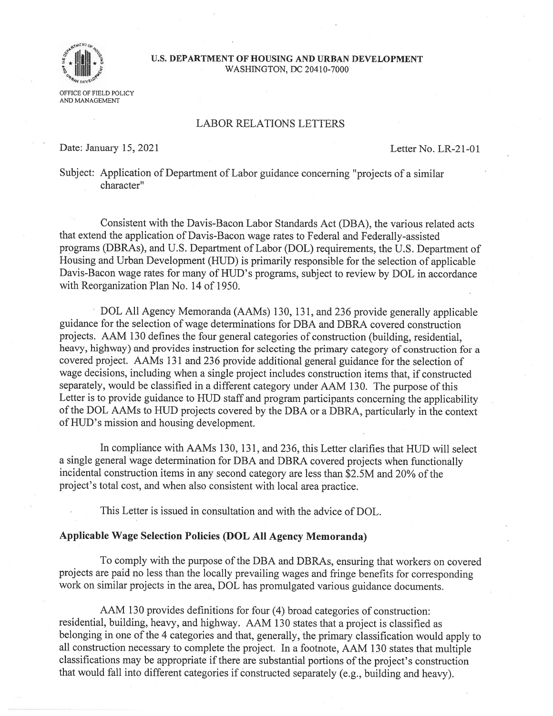

# U.S. DEPARTMENT OF HOUSING AND URBAN DEVELOPMENT WASHINGTON, DC 20410-7000

LABOR RELATIONS LETTERS

Date: January 15, 2021 Letter No. LR-21-01

Subject: Application of Department of Labor guidance concerning "projects of <sup>a</sup> similar character"

Consistent with the Davis-Bacon Labor Standards Act (DBA). the various related acts that extend the application of Davis-Bacon wage rates to Federal and Federally-assisted programs (DBRAs), and U.S. Department of Labor (DOL) requirements, the U.S. Department of Housing and Urban Development (HUD) is primarily responsible for the selection of applicable Davis-Bacon wage rates for many of HUD's programs, subject to review by DOL in accordance with Reorganization Plan No. 14 of 1950.

DOL All Agency Memoranda (AAMs) 130, 131, and <sup>236</sup> provide generally applicable guidance for the selection of wage determinations for DBA and DBRA covered construction projects. AAM <sup>130</sup> defines the four genera<sup>l</sup> categories of construction (building, residential, heavy, highway) and provides instruction for selecting the primary category of construction for <sup>a</sup> covered project. AAMs <sup>131</sup> and <sup>236</sup> provide additional genera<sup>l</sup> guidance for the selection of wage decisions, including when <sup>a</sup> single project includes construction items that, if constructed separately, would be classified in <sup>a</sup> different category under AAM 130. The purpose of this Letter is to provide guidance to HUD staff and program participants concerning the applicability ofthe DOL AAMs to HUD projects covered by the DBA or <sup>a</sup> DBRA, particularly in the context of HUD's mission and housing development.

In compliance with AAMs 130, 131, and 236, this Letter clarifies that HUD will select <sup>a</sup> single genera<sup>l</sup> wage determination for DBA and DBRA covered projects when functionally incidental construction items in any second category are less than \$2.5M and 20% of the project's total cost, and when also consistent with local area practice.

This Letter is issued in consultation and with the advice of DOL.

### Applicable Wage Selection Policies (DOL All Agency Memoranda)

To comply with the purpose of the DBA and DBRAs, ensuring that workers on covered projects are paid no less than the locally prevailing wages and fringe benefits for corresponding work on similar projects in the area, DOL has promulgated various guidance documents.

AAM <sup>130</sup> provides definitions for four (4) broad categories of construction: residential, building, heavy, and highway. AAM <sup>130</sup> states that <sup>a</sup> project is classified as belonging in one of the <sup>4</sup> categories and that, generally, the primary classification would apply to all construction necessary to complete the project. In <sup>a</sup> footnote, AAM <sup>130</sup> states that multiple classifications may be appropriate if there are substantial portions of the project's construction that would fall into different categories if constructed separately (e.g., building and heavy).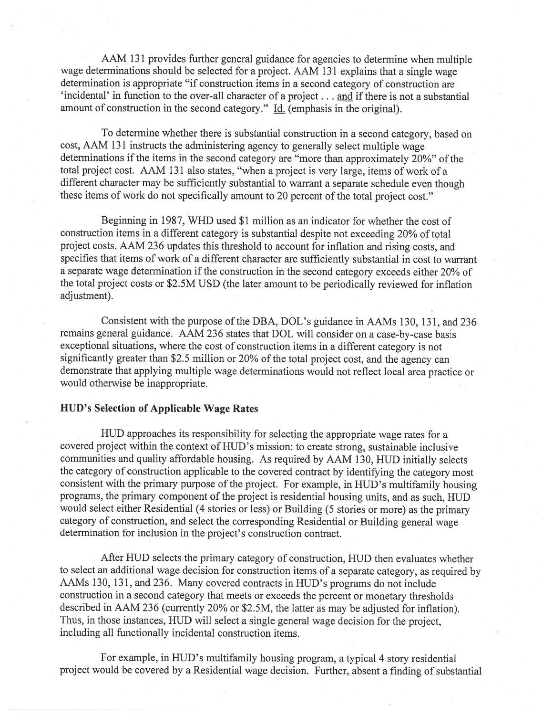AAM <sup>131</sup> provides further genera<sup>l</sup> guidance for agencies to determine when multiple wage determinations should be selected for <sup>a</sup> project. AAM <sup>131</sup> explains that <sup>a</sup> single wage determination is appropriate "if construction items in <sup>a</sup> second category of construction are 'incidental' in function to the over-all character of a project... and if there is not a substantial amount of construction in the second category." Id. (emphasis in the original).

To determine whether there is substantial construction in <sup>a</sup> second category, based on cost, AAM <sup>131</sup> instructs the administering agency to generally select multiple wage determinations if the items in the second category are "more than approximately 20%" of the total project cost. AAM <sup>131</sup> also states, "when <sup>a</sup> project is very large, items of work of <sup>a</sup> different character may be sufficiently substantial to warrant a separate schedule even though these items of work do not specifically amount to <sup>20</sup> percen<sup>t</sup> of the total project cost."

Beginning in 1987, WHD used \$1 million as an indicator for whether the cost of construction items in <sup>a</sup> different category is substantial despite not exceeding 20% of total project costs. AAM <sup>236</sup> updates this threshold to account for inflation and rising costs, and specifies that items of work of <sup>a</sup> different character are sufficiently substantial in cost to warrant a separate wage determination if the construction in the second category exceeds either 20% of the total project costs or \$2.5M USD (the later amount to be periodically reviewed for inflation adjustment).

Consistent with the purpose of the DBA, DOL's guidance in AAMs 130, 131, and 236 remains genera<sup>l</sup> guidance. AAM <sup>236</sup> states that DOL will consider on <sup>a</sup> case-by-case basis exceptional situations, where the cost of construction items in <sup>a</sup> different category is not significantly greater than \$2.5 million or 20% of the total project cost, and the agency can demonstrate that applying multiple wage determinations would not reflect local area practice or would otherwise be inappropriate.

#### HUB's Selection of Applicable Wage Rates

HUD approaches its responsibility for selecting the appropriate wage rates for <sup>a</sup> covered project within the context of HUD's mission: to create strong, sustainable inclusive communities and quality affordable housing. As required by AAM 130, HUD initially selects the category of construction applicable to the covered contract by identifying the category most consistent with the primary purpose of the project. For example, in HUD's multifamily housing programs, the primary componen<sup>t</sup> of the project is residential housing units, and as such, HUD would select either Residential (4 stories or less) or Building (5 stories or more) as the primary category of construction, and select the corresponding Residential or Building genera<sup>l</sup> wage determination for inclusion in the project's construction contract.

After HUD selects the primary category of construction, HUD then evaluates whether to select an additional wage decision for construction items of a separate category, as required by AAMs 130, 131, and 236. Many covered contracts in HUD's programs do not include construction in <sup>a</sup> second category that meets or exceeds the percen<sup>t</sup> or monetary thresholds described in AAM <sup>236</sup> (currently 20% or S2.5M, the latter as may be adjusted for inflation). Thus, in those instances, HUD will select <sup>a</sup> single genera<sup>l</sup> wage decision for the project, including all functionally incidental construction items.

For example, in HUD's multifamily housing program, <sup>a</sup> typical <sup>4</sup> story residential project would be covered by <sup>a</sup> Residential wage decision, further, absent <sup>a</sup> finding of substantial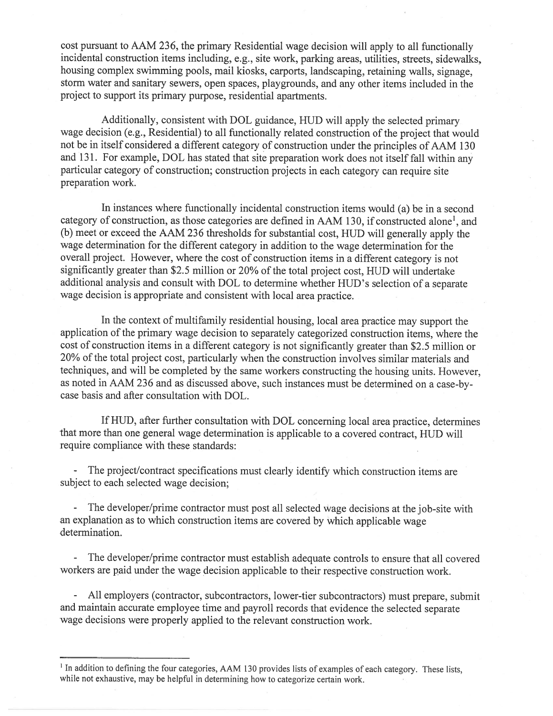cost pursuan<sup>t</sup> to AAM 236, the primary Residential wage decision will apply to all functionally incidental construction items including, e.g., site work, parking areas, utilities, streets, sidewalks, housing complex swimming pools, mail kiosks, carports, landscaping, retaining walls, signage, storm water and sanitary sewers, open spaces, <sup>p</sup>laygrounds, and any other items included in the project to suppor<sup>t</sup> its primary purpose, residential apartments.

Additionally, consistent with DOL guidance, MUD will apply the selected primary wage decision (e.g., Residential) to all functionally related construction of the project that would not be in itself considered <sup>a</sup> different category of construction under the principles of AAM <sup>130</sup> and 131. For example, DOL has stated that site preparation work does not itself fall within any particular category of construction; construction projects in each category can require site preparation work.

In instances where functionally incidental construction items would (a) be in <sup>a</sup> second category of construction, as those categories are defined in AAM 130, if constructed alone', and (b) meet or exceed the AAM <sup>236</sup> thresholds for substantial cost, HUD will generally apply the wage determination for the different category in addition to the wage determination for the overall project. However, where the cost of construction items in <sup>a</sup> different category is not significantly greater than \$2.5 million or 20% of the total project cost, HUD will undertake additional analysis and consult with DOL to determine whether MUD's selection of <sup>a</sup> separate wage decision is appropriate and consistent with local area practice.

In the context of multifamily residential housing, local area practice may suppor<sup>t</sup> the application of the primary wage decision to separately categorized construction items, where the cost of construction items in <sup>a</sup> different category is not significantly greater than \$2.5 million or 20% of the total project cost, particularly when the construction involves similar materials and techniques, and will be completed by the same workers constructing the housing units. However, as noted in AAM <sup>236</sup> and as discussed above, such instances must be determined on <sup>a</sup> case-bycase basis and after consultation with DOL.

If HUD, after further consultation with DOL concerning local area practice, determines that more than one genera<sup>l</sup> wage determination is applicable to <sup>a</sup> covered contract, HUD will require compliance with these standards:

- The project/contract specifications must clearly identify which construction items are subject to each selected wage decision;

- The developer/prime contractor must pos<sup>t</sup> all selected wage decisions at the job-site with an explanation as to which construction items are covered by which applicable wage determination.

- The developer/prime contractor must establish adequate controls to ensure that all covered workers are paid under the wage decision applicable to their respective construction work.

- All employers (contractor, subcontractors, lower-tier subcontractors) must prepare, submit and maintain accurate employee time and payroll records that evidence the selected separate wage decisions were properly applied to the relevant construction work.

<sup>&</sup>lt;sup>1</sup> In addition to defining the four categories, AAM 130 provides lists of examples of each category. These lists, while not exhaustive, may be helpful in determining how to categorize certain work.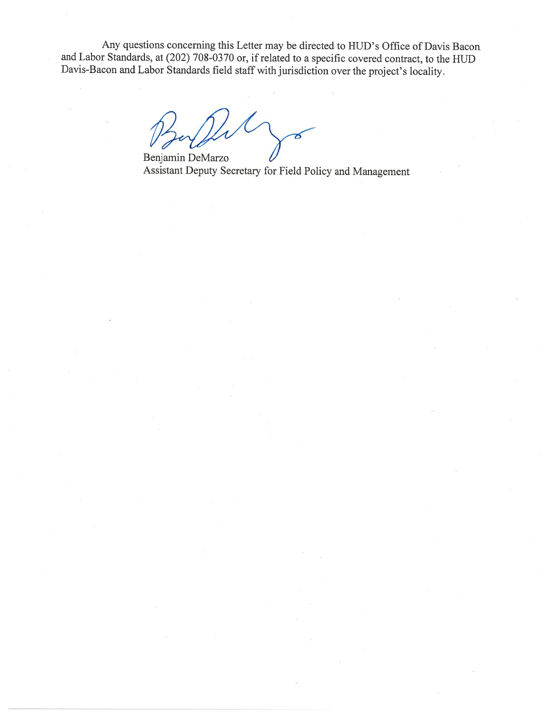Any questions concerning this Letter may be directed to HUD's Office of Davis Bacon and Labor Standards, at (202) 708-0370 or, if related to <sup>a</sup> specific covered contract, to the HUD Davis-Bacon and Labor Standards field staff with jurisdiction over the project's locality.

 $\mathcal{N}$ 

Benjamin DeMarzo Assistant Deputy Secretary for Field Policy and Management